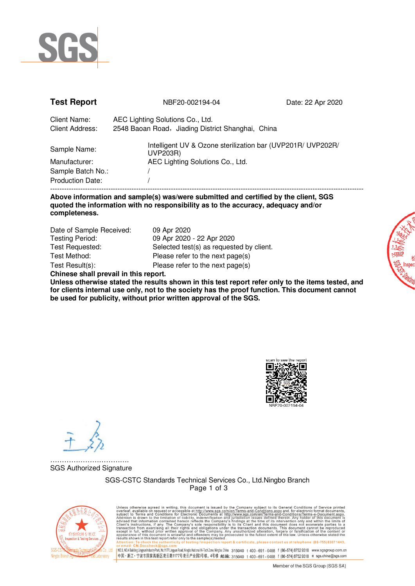

| <b>Test Report</b>              | NBF20-002194-04                                                                       | Date: 22 Apr 2020 |
|---------------------------------|---------------------------------------------------------------------------------------|-------------------|
| Client Name:<br>Client Address: | AEC Lighting Solutions Co., Ltd.<br>2548 Baoan Road, Jiading District Shanghai, China |                   |
| Sample Name:                    | Intelligent UV & Ozone sterilization bar (UVP201R/ UVP202R/<br>UVP203R)               |                   |
| Manufacturer:                   | AEC Lighting Solutions Co., Ltd.                                                      |                   |
| Sample Batch No.:               |                                                                                       |                   |
| <b>Production Date:</b>         |                                                                                       |                   |
|                                 |                                                                                       |                   |

**Above information and sample(s) was/were submitted and certified by the client, SGS quoted the information with no responsibility as to the accuracy, adequacy and/or completeness.** 

| Date of Sample Received:                                                                                                                                                                                                       | 09 Apr 2020                              |
|--------------------------------------------------------------------------------------------------------------------------------------------------------------------------------------------------------------------------------|------------------------------------------|
| <b>Testing Period:</b>                                                                                                                                                                                                         | 09 Apr 2020 - 22 Apr 2020                |
| Test Requested:                                                                                                                                                                                                                | Selected test(s) as requested by client. |
| Test Method:                                                                                                                                                                                                                   | Please refer to the next page(s)         |
| Test Result(s):                                                                                                                                                                                                                | Please refer to the next page(s)         |
| Abdulus and the book of the state of the state of the state of the state of the state of the state of the state of the state of the state of the state of the state of the state of the state of the state of the state of the |                                          |

**Chinese shall prevail in this report.** 

**Unless otherwise stated the results shown in this test report refer only to the items tested, and for clients internal use only, not to the society has the proof function. This document cannot be used for publicity, without prior written approval of the SGS.** 



……………………………. SGS Authorized Signature

> SGS-CSTC Standards Technical Services Co., Ltd.Ningbo Branch Page 1 of 3



Unless otherwise agreed in writing, this document is issued by the Company subject to its General Conditions of Service printed available on request or accessible at this document is subject to Terms and Conditions for El report & certificate, please contact us at telephone: (86-755) 8307 1443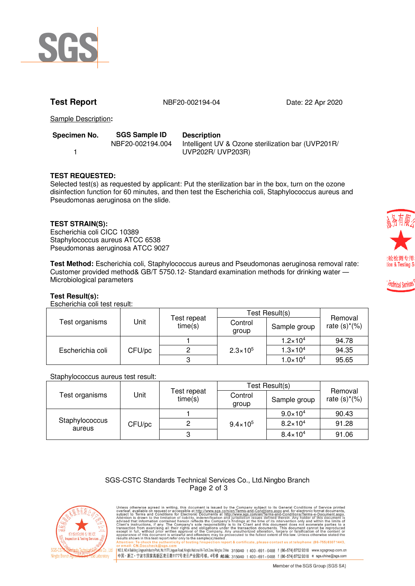

**Test Report** NBF20-002194-04 Date: 22 Apr 2020

Sample Description**:**

| Specimen No. |  |  |  |  |
|--------------|--|--|--|--|
|              |  |  |  |  |

**Specimen No. SGS Sample ID Description** 

NBF20-002194.004 Intelligent UV & Ozone sterilization bar (UVP201R/ UVP202R/ UVP203R)

# **TEST REQUESTED:**

Selected test(s) as requested by applicant: Put the sterilization bar in the box, turn on the ozone disinfection function for 60 minutes, and then test the Escherichia coli, Staphylococcus aureus and Pseudomonas aeruginosa on the slide.

# **TEST STRAIN(S):**

Escherichia coli CICC 10389 Staphylococcus aureus ATCC 6538 Pseudomonas aeruginosa ATCC 9027

**Test Method:** Escherichia coli, Staphylococcus aureus and Pseudomonas aeruginosa removal rate: Customer provided method& GB/T 5750.12- Standard examination methods for drinking water ― Microbiological parameters

### **Test Result(s):**

Escherichia coli test result:

|                  |        |                        | Test Result(s)      |                     |                            |
|------------------|--------|------------------------|---------------------|---------------------|----------------------------|
| Test organisms   | Unit   | Test repeat<br>time(s) | Control<br>group    | Sample group        | Removal<br>rate $(s)*(\%)$ |
| Escherichia coli | CFU/pc |                        | $2.3 \times 10^{5}$ | $1.2 \times 10^{4}$ | 94.78                      |
|                  |        |                        |                     | $1.3 \times 10^{4}$ | 94.35                      |
|                  |        |                        |                     | $1.0 \times 10^{4}$ | 95.65                      |

### Staphylococcus aureus test result:

|                          |        |                        | Test Result(s)      |                     |                            |
|--------------------------|--------|------------------------|---------------------|---------------------|----------------------------|
| Test organisms           | Jnit   | Test repeat<br>time(s) | Control<br>group    | Sample group        | Removal<br>rate $(s)*(\%)$ |
| Staphylococcus<br>aureus | CFU/pc |                        | $9.4 \times 10^{5}$ | $9.0 \times 10^{4}$ | 90.43                      |
|                          |        | ⌒                      |                     | $8.2 \times 10^{4}$ | 91.28                      |
|                          |        |                        |                     | $8.4 \times 10^{4}$ | 91.06                      |

### SGS-CSTC Standards Technical Services Co., Ltd.Ningbo Branch Page 2 of 3



Unless otherwise agreed in writing, this document is issued by the Company subject to its General Conditions of Service printed available on request or accessible at this document is subject to Terms and Conditions for El eport & certificate, please contact us at telephone: (86-755) 8307 1443 or email: <u>Universitence was gis.com</u><br>|NO.3,NO.4BuildingLingyunIndustryPark,No.117Lingyun Road,Ningbo.Naional Hi-TechZone,Ningbo,China 315040 t 400-691-0488 f (86-574)87529318 www.sgsgroup.com.cn<br>|中国・浙江・宁波市国家高新区凌云路1177号凌